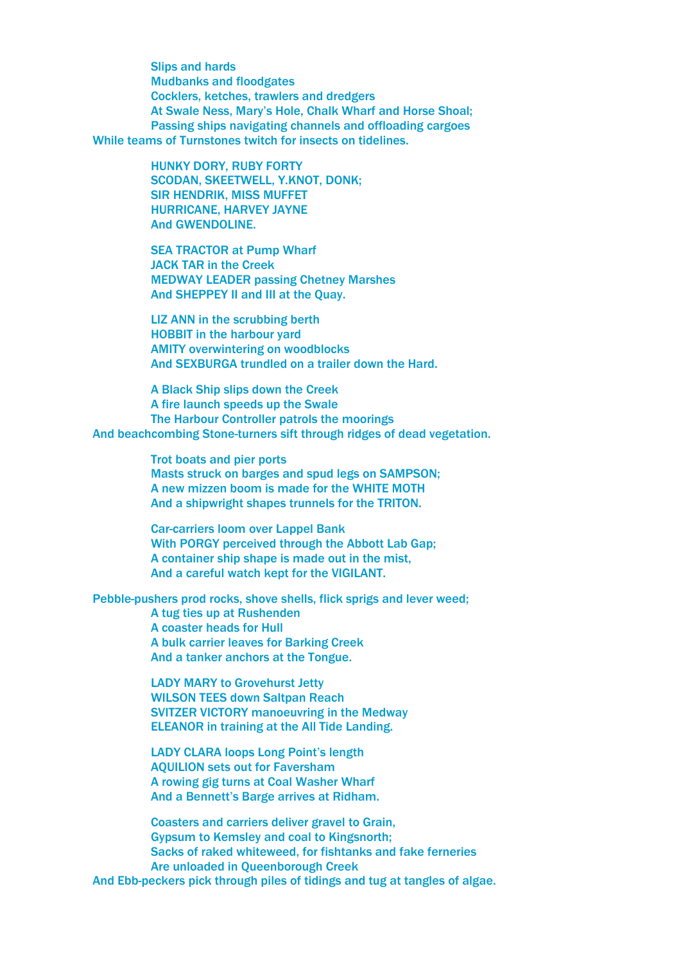Slips and hards Mudbanks and floodgates Cocklers, ketches, trawlers and dredgers At Swale Ness, Mary's Hole, Chalk Wharf and Horse Shoal; Passing ships navigating channels and offloading cargoes While teams of Turnstones twitch for insects on tidelines.

> HUNKY DORY, RUBY FORTY SCODAN, SKEETWELL, Y.KNOT, DONK; SIR HENDRIK, MISS MUFFET HURRICANE, HARVEY JAYNE And GWENDOLINE.

SEA TRACTOR at Pump Wharf JACK TAR in the Creek MEDWAY LEADER passing Chetney Marshes And SHEPPEY II and III at the Quay.

LIZ ANN in the scrubbing berth HOBBIT in the harbour yard AMITY overwintering on woodblocks And SEXBURGA trundled on a trailer down the Hard.

A Black Ship slips down the Creek A fire launch speeds up the Swale The Harbour Controller patrols the moorings And beachcombing Stone-turners sift through ridges of dead vegetation.

> Trot boats and pier ports Masts struck on barges and spud legs on SAMPSON; A new mizzen boom is made for the WHITE MOTH And a shipwright shapes trunnels for the TRITON.

Car-carriers loom over Lappel Bank With PORGY perceived through the Abbott Lab Gap; A container ship shape is made out in the mist, And a careful watch kept for the VIGILANT.

Pebble-pushers prod rocks, shove shells, flick sprigs and lever weed; A tug ties up at Rushenden A coaster heads for Hull A bulk carrier leaves for Barking Creek And a tanker anchors at the Tongue.

> LADY MARY to Grovehurst Jetty WILSON TEES down Saltpan Reach SVITZER VICTORY manoeuvring in the Medway ELEANOR in training at the All Tide Landing.

LADY CLARA loops Long Point's length AQUILION sets out for Faversham A rowing gig turns at Coal Washer Wharf And a Bennett's Barge arrives at Ridham.

Coasters and carriers deliver gravel to Grain, Gypsum to Kemsley and coal to Kingsnorth; Sacks of raked whiteweed, for fishtanks and fake ferneries Are unloaded in Queenborough Creek And Ebb-peckers pick through piles of tidings and tug at tangles of algae.